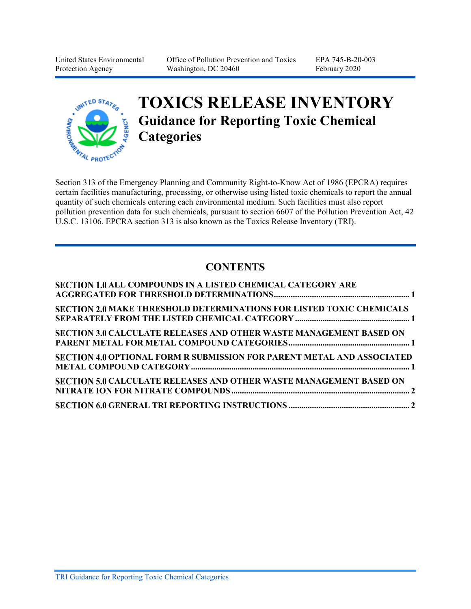United States Environmental Protection Agency

Office of Pollution Prevention and Toxics Washington, DC 20460

EPA 745-B-20-003 February 2020



# **TOXICS RELEASE INVENTORY Guidance for Reporting Toxic Chemical Categories**

Section 313 of the Emergency Planning and Community Right-to-Know Act of 1986 (EPCRA) requires certain facilities manufacturing, processing, or otherwise using listed toxic chemicals to report the annual quantity of such chemicals entering each environmental medium. Such facilities must also report pollution prevention data for such chemicals, pursuant to section 6607 of the Pollution Prevention Act, 42 U.S.C. 13106. EPCRA section 313 is also known as the Toxics Release Inventory (TRI).

## **CONTENTS**

| <b>SECTION 1.0 ALL COMPOUNDS IN A LISTED CHEMICAL CATEGORY ARE</b>            |  |
|-------------------------------------------------------------------------------|--|
| <b>SECTION 2.0 MAKE THRESHOLD DETERMINATIONS FOR LISTED TOXIC CHEMICALS</b>   |  |
| <b>SECTION 3.0 CALCULATE RELEASES AND OTHER WASTE MANAGEMENT BASED ON</b>     |  |
| <b>SECTION 4.0 OPTIONAL FORM R SUBMISSION FOR PARENT METAL AND ASSOCIATED</b> |  |
| <b>SECTION 5.0 CALCULATE RELEASES AND OTHER WASTE MANAGEMENT BASED ON</b>     |  |
|                                                                               |  |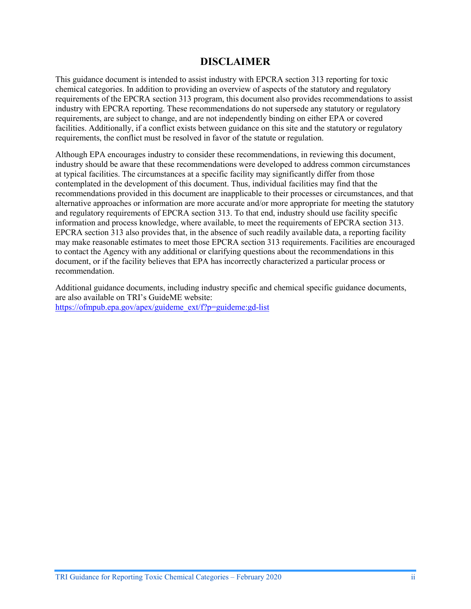#### **DISCLAIMER**

This guidance document is intended to assist industry with EPCRA section 313 reporting for toxic chemical categories. In addition to providing an overview of aspects of the statutory and regulatory requirements of the EPCRA section 313 program, this document also provides recommendations to assist industry with EPCRA reporting. These recommendations do not supersede any statutory or regulatory requirements, are subject to change, and are not independently binding on either EPA or covered facilities. Additionally, if a conflict exists between guidance on this site and the statutory or regulatory requirements, the conflict must be resolved in favor of the statute or regulation.

Although EPA encourages industry to consider these recommendations, in reviewing this document, industry should be aware that these recommendations were developed to address common circumstances at typical facilities. The circumstances at a specific facility may significantly differ from those contemplated in the development of this document. Thus, individual facilities may find that the recommendations provided in this document are inapplicable to their processes or circumstances, and that alternative approaches or information are more accurate and/or more appropriate for meeting the statutory and regulatory requirements of EPCRA section 313. To that end, industry should use facility specific information and process knowledge, where available, to meet the requirements of EPCRA section 313. EPCRA section 313 also provides that, in the absence of such readily available data, a reporting facility may make reasonable estimates to meet those EPCRA section 313 requirements. Facilities are encouraged to contact the Agency with any additional or clarifying questions about the recommendations in this document, or if the facility believes that EPA has incorrectly characterized a particular process or recommendation.

Additional guidance documents, including industry specific and chemical specific guidance documents, are also available on TRI's GuideME website: [https://ofmpub.epa.gov/apex/guideme\\_ext/f?p=guideme:gd-list](https://ofmpub.epa.gov/apex/guideme_ext/f?p=guideme:gd-list)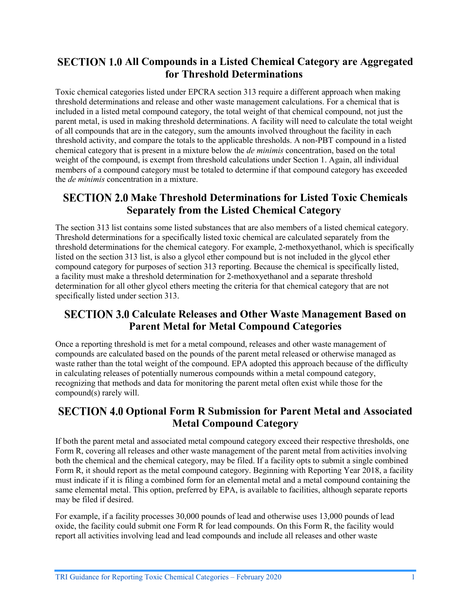### <span id="page-2-0"></span>**SECTION 1.0 All Compounds in a Listed Chemical Category are Aggregated for Threshold Determinations**

Toxic chemical categories listed under EPCRA section 313 require a different approach when making threshold determinations and release and other waste management calculations. For a chemical that is included in a listed metal compound category, the total weight of that chemical compound, not just the parent metal, is used in making threshold determinations. A facility will need to calculate the total weight of all compounds that are in the category, sum the amounts involved throughout the facility in each threshold activity, and compare the totals to the applicable thresholds. A non-PBT compound in a listed chemical category that is present in a mixture below the *de minimis* concentration, based on the total weight of the compound, is exempt from threshold calculations under Section 1. Again, all individual members of a compound category must be totaled to determine if that compound category has exceeded the *de minimis* concentration in a mixture.

#### <span id="page-2-1"></span>**SECTION 2.0 Make Threshold Determinations for Listed Toxic Chemicals Separately from the Listed Chemical Category**

The section 313 list contains some listed substances that are also members of a listed chemical category. Threshold determinations for a specifically listed toxic chemical are calculated separately from the threshold determinations for the chemical category. For example, 2-methoxyethanol, which is specifically listed on the section 313 list, is also a glycol ether compound but is not included in the glycol ether compound category for purposes of section 313 reporting. Because the chemical is specifically listed, a facility must make a threshold determination for 2-methoxyethanol and a separate threshold determination for all other glycol ethers meeting the criteria for that chemical category that are not specifically listed under section 313.

### <span id="page-2-2"></span>**SECTION 3.0 Calculate Releases and Other Waste Management Based on Parent Metal for Metal Compound Categories**

Once a reporting threshold is met for a metal compound, releases and other waste management of compounds are calculated based on the pounds of the parent metal released or otherwise managed as waste rather than the total weight of the compound. EPA adopted this approach because of the difficulty in calculating releases of potentially numerous compounds within a metal compound category, recognizing that methods and data for monitoring the parent metal often exist while those for the compound(s) rarely will.

#### <span id="page-2-3"></span>**SECTION 4.0 Optional Form R Submission for Parent Metal and Associated Metal Compound Category**

If both the parent metal and associated metal compound category exceed their respective thresholds, one Form R, covering all releases and other waste management of the parent metal from activities involving both the chemical and the chemical category, may be filed. If a facility opts to submit a single combined Form R, it should report as the metal compound category. Beginning with Reporting Year 2018, a facility must indicate if it is filing a combined form for an elemental metal and a metal compound containing the same elemental metal. This option, preferred by EPA, is available to facilities, although separate reports may be filed if desired.

For example, if a facility processes 30,000 pounds of lead and otherwise uses 13,000 pounds of lead oxide, the facility could submit one Form R for lead compounds. On this Form R, the facility would report all activities involving lead and lead compounds and include all releases and other waste